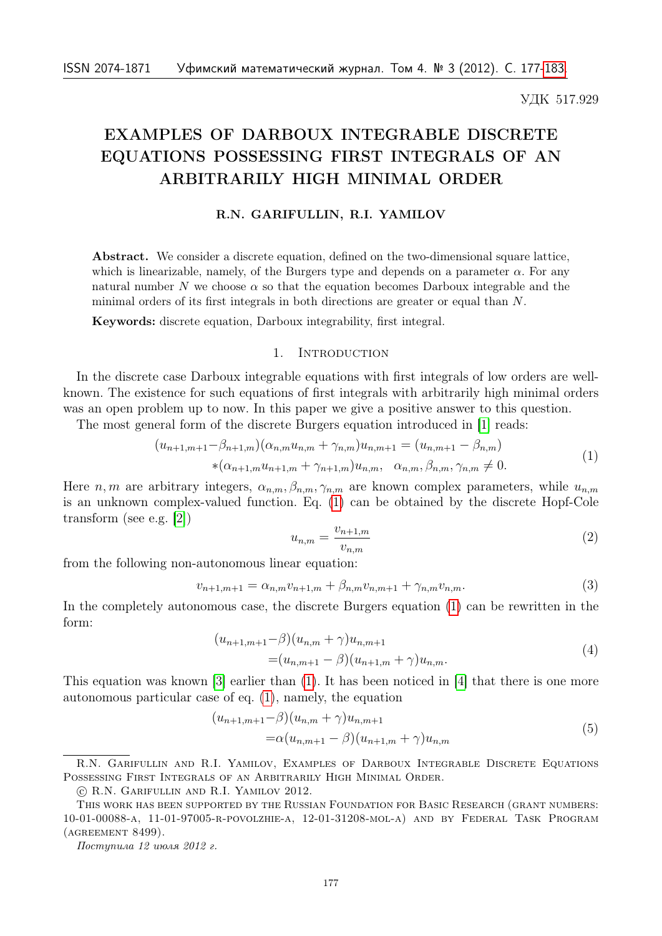УДК 517.929

# EXAMPLES OF DARBOUX INTEGRABLE DISCRETE EQUATIONS POSSESSING FIRST INTEGRALS OF AN ARBITRARILY HIGH MINIMAL ORDER

## R.N. GARIFULLIN, R.I. YAMILOV

Abstract. We consider a discrete equation, defined on the two-dimensional square lattice, which is linearizable, namely, of the Burgers type and depends on a parameter  $\alpha$ . For any natural number N we choose  $\alpha$  so that the equation becomes Darboux integrable and the minimal orders of its first integrals in both directions are greater or equal than  $N$ .

Keywords: discrete equation, Darboux integrability, first integral.

## 1. INTRODUCTION

In the discrete case Darboux integrable equations with first integrals of low orders are wellknown. The existence for such equations of first integrals with arbitrarily high minimal orders was an open problem up to now. In this paper we give a positive answer to this question.

<span id="page-0-0"></span>The most general form of the discrete Burgers equation introduced in [\[1\]](#page-6-1) reads:

$$
(u_{n+1,m+1} - \beta_{n+1,m})(\alpha_{n,m}u_{n,m} + \gamma_{n,m})u_{n,m+1} = (u_{n,m+1} - \beta_{n,m})
$$
  
\*(\alpha\_{n+1,m}u\_{n+1,m} + \gamma\_{n+1,m})u\_{n,m}, \alpha\_{n,m}, \beta\_{n,m}, \gamma\_{n,m} \neq 0. (1)

Here *n*, *m* are arbitrary integers,  $\alpha_{n,m}$ ,  $\beta_{n,m}$ ,  $\gamma_{n,m}$  are known complex parameters, while  $u_{n,m}$ is an unknown complex-valued function. Eq. [\(1\)](#page-0-0) can be obtained by the discrete Hopf-Cole transform (see e.g. [\[2\]](#page-6-2))

<span id="page-0-3"></span>
$$
u_{n,m} = \frac{v_{n+1,m}}{v_{n,m}}
$$
\n<sup>(2)</sup>

from the following non-autonomous linear equation:

<span id="page-0-4"></span>
$$
v_{n+1,m+1} = \alpha_{n,m} v_{n+1,m} + \beta_{n,m} v_{n,m+1} + \gamma_{n,m} v_{n,m}.
$$
\n(3)

In the completely autonomous case, the discrete Burgers equation [\(1\)](#page-0-0) can be rewritten in the form:

$$
(u_{n+1,m+1}-\beta)(u_{n,m}+\gamma)u_{n,m+1}
$$
  
= $(u_{n,m+1}-\beta)(u_{n+1,m}+\gamma)u_{n,m}.$  (4)

<span id="page-0-1"></span>This equation was known [\[3\]](#page-6-3) earlier than [\(1\)](#page-0-0). It has been noticed in [\[4\]](#page-6-4) that there is one more autonomous particular case of eq. [\(1\)](#page-0-0), namely, the equation

$$
(u_{n+1,m+1}-\beta)(u_{n,m}+\gamma)u_{n,m+1}
$$
  
=\alpha(u\_{n,m+1}-\beta)(u\_{n+1,m}+\gamma)u\_{n,m} (5)

Поступила 12 июля 2012 г.

<span id="page-0-2"></span>R.N. Garifullin and R.I. Yamilov, Examples of Darboux Integrable Discrete Equations Possessing First Integrals of an Arbitrarily High Minimal Order.

<sup>○</sup>c R.N. Garifullin and R.I. Yamilov 2012.

This work has been supported by the Russian Foundation for Basic Research (grant numbers: 10-01-00088-a, 11-01-97005-r-povolzhie-a, 12-01-31208-mol-a) and by Federal Task Program (agreement 8499).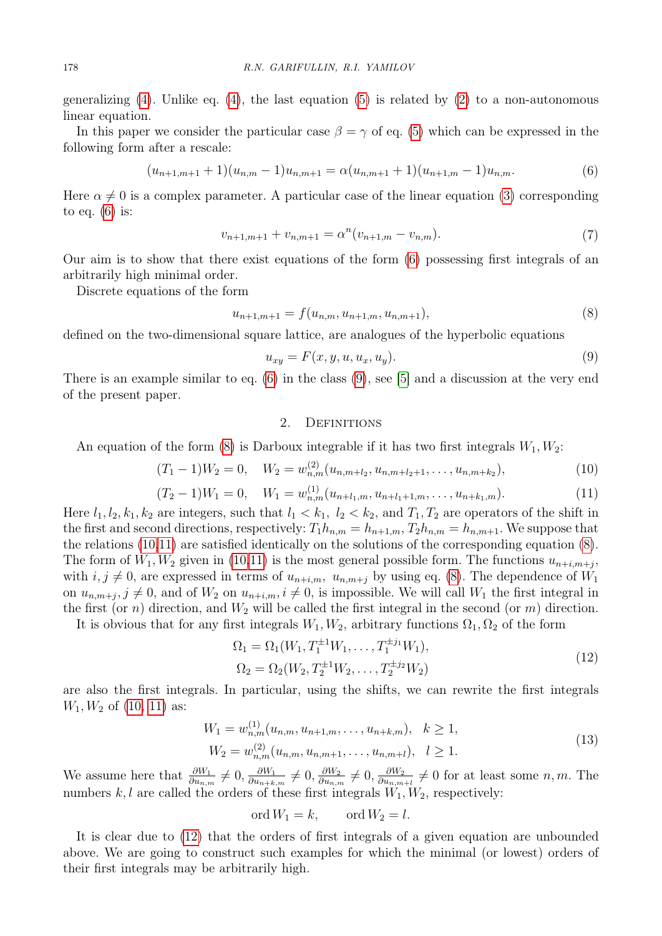generalizing [\(4\)](#page-0-1). Unlike eq. (4), the last equation [\(5\)](#page-0-2) is related by [\(2\)](#page-0-3) to a non-autonomous linear equation.

In this paper we consider the particular case  $\beta = \gamma$  of eq. [\(5\)](#page-0-2) which can be expressed in the following form after a rescale:

$$
(u_{n+1,m+1}+1)(u_{n,m}-1)u_{n,m+1} = \alpha (u_{n,m+1}+1)(u_{n+1,m}-1)u_{n,m}.
$$
\n(6)

<span id="page-1-0"></span>Here  $\alpha \neq 0$  is a complex parameter. A particular case of the linear equation [\(3\)](#page-0-4) corresponding to eq.  $(6)$  is:

$$
v_{n+1,m+1} + v_{n,m+1} = \alpha^n (v_{n+1,m} - v_{n,m}).
$$
\n(7)

<span id="page-1-6"></span>Our aim is to show that there exist equations of the form [\(6\)](#page-1-0) possessing first integrals of an arbitrarily high minimal order.

Discrete equations of the form

<span id="page-1-2"></span>
$$
u_{n+1,m+1} = f(u_{n,m}, u_{n+1,m}, u_{n,m+1}),
$$
\n(8)

defined on the two-dimensional square lattice, are analogues of the hyperbolic equations

<span id="page-1-1"></span>
$$
u_{xy} = F(x, y, u, u_x, u_y). \tag{9}
$$

There is an example similar to eq. [\(6\)](#page-1-0) in the class [\(9\)](#page-1-1), see [\[5\]](#page-6-5) and a discussion at the very end of the present paper.

### 2. DEFINITIONS

An equation of the form [\(8\)](#page-1-2) is Darboux integrable if it has two first integrals  $W_1, W_2$ :

<span id="page-1-3"></span>
$$
(T_1 - 1)W_2 = 0, \quad W_2 = w_{n,m}^{(2)}(u_{n,m+l_2}, u_{n,m+l_2+1}, \dots, u_{n,m+k_2}), \tag{10}
$$

<span id="page-1-4"></span>
$$
(T_2 - 1)W_1 = 0, \quad W_1 = w_{n,m}^{(1)}(u_{n+l_1,m}, u_{n+l_1+1,m}, \dots, u_{n+k_1,m}).
$$
\n(11)

Here  $l_1, l_2, k_1, k_2$  are integers, such that  $l_1 < k_1$ ,  $l_2 < k_2$ , and  $T_1, T_2$  are operators of the shift in the first and second directions, respectively:  $T_1 h_{n,m} = h_{n+1,m}$ ,  $T_2 h_{n,m} = h_{n,m+1}$ . We suppose that the relations [\(10,](#page-1-3)[11\)](#page-1-4) are satisfied identically on the solutions of the corresponding equation [\(8\)](#page-1-2). The form of  $W_1, W_2$  given in [\(10,](#page-1-3)[11\)](#page-1-4) is the most general possible form. The functions  $u_{n+i,m+j}$ , with  $i, j \neq 0$ , are expressed in terms of  $u_{n+i,m}, u_{n,m+j}$  by using eq. [\(8\)](#page-1-2). The dependence of  $W_1$ on  $u_{n,m+j}, j \neq 0$ , and of  $W_2$  on  $u_{n+i,m}, i \neq 0$ , is impossible. We will call  $W_1$  the first integral in the first (or n) direction, and  $W_2$  will be called the first integral in the second (or m) direction.

<span id="page-1-5"></span>It is obvious that for any first integrals  $W_1, W_2$ , arbitrary functions  $\Omega_1, \Omega_2$  of the form

$$
\Omega_1 = \Omega_1(W_1, T_1^{\pm 1} W_1, \dots, T_1^{\pm j_1} W_1),
$$
  
\n
$$
\Omega_2 = \Omega_2(W_2, T_2^{\pm 1} W_2, \dots, T_2^{\pm j_2} W_2)
$$
\n(12)

are also the first integrals. In particular, using the shifts, we can rewrite the first integrals  $W_1, W_2$  of [\(10,](#page-1-3) [11\)](#page-1-4) as:

$$
W_1 = w_{n,m}^{(1)}(u_{n,m}, u_{n+1,m}, \dots, u_{n+k,m}), \quad k \ge 1,
$$
  
\n
$$
W_2 = w_{n,m}^{(2)}(u_{n,m}, u_{n,m+1}, \dots, u_{n,m+l}), \quad l \ge 1.
$$
\n
$$
(13)
$$

<span id="page-1-7"></span>We assume here that  $\frac{\partial W_1}{\partial u_{n,m}} \neq 0, \frac{\partial W_1}{\partial u_{n+k}}$  $\frac{\partial W_1}{\partial u_{n+k,m}}\neq 0, \frac{\partial W_2}{\partial u_{n,r}}$  $\frac{\partial W_2}{\partial u_{n,m}}\neq 0, \frac{\partial W_2}{\partial u_{n,m}}$  $\frac{\partial W_2}{\partial u_{n,m+l}} \neq 0$  for at least some  $n, m$ . The numbers  $k, l$  are called the orders of these first integrals  $W_1, W_2$ , respectively:

$$
ord W_1 = k, \qquad ord W_2 = l.
$$

It is clear due to [\(12\)](#page-1-5) that the orders of first integrals of a given equation are unbounded above. We are going to construct such examples for which the minimal (or lowest) orders of their first integrals may be arbitrarily high.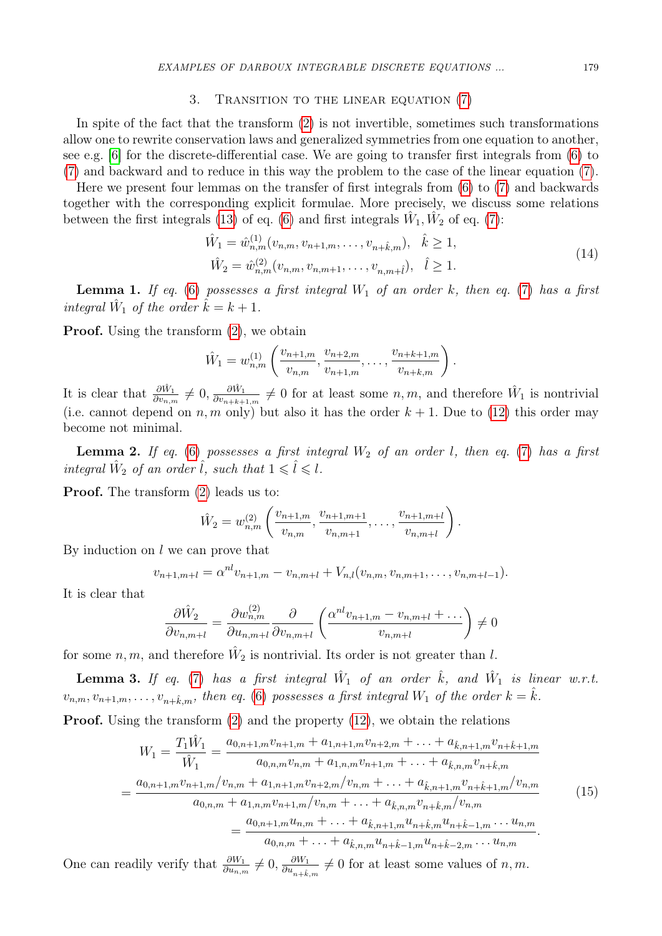#### 3. Transition to the linear equation [\(7\)](#page-1-6)

In spite of the fact that the transform [\(2\)](#page-0-3) is not invertible, sometimes such transformations allow one to rewrite conservation laws and generalized symmetries from one equation to another, see e.g. [\[6\]](#page-6-6) for the discrete-differential case. We are going to transfer first integrals from [\(6\)](#page-1-0) to [\(7\)](#page-1-6) and backward and to reduce in this way the problem to the case of the linear equation [\(7\)](#page-1-6).

Here we present four lemmas on the transfer of first integrals from [\(6\)](#page-1-0) to [\(7\)](#page-1-6) and backwards together with the corresponding explicit formulae. More precisely, we discuss some relations between the first integrals [\(13\)](#page-1-7) of eq. [\(6\)](#page-1-0) and first integrals  $\hat{W}_1, \hat{W}_2$  of eq. [\(7\)](#page-1-6):

$$
\hat{W}_1 = \hat{w}_{n,m}^{(1)}(v_{n,m}, v_{n+1,m}, \dots, v_{n+\hat{k},m}), \quad \hat{k} \ge 1,
$$
\n
$$
\hat{W}_2 = \hat{w}_{n,m}^{(2)}(v_{n,m}, v_{n,m+1}, \dots, v_{n,m+\hat{l}}), \quad \hat{l} \ge 1.
$$
\n(14)

<span id="page-2-3"></span>**Lemma 1.** If eq. [\(6\)](#page-1-0) possesses a first integral  $W_1$  of an order k, then eq. [\(7\)](#page-1-6) has a first integral  $\hat{W}_1$  of the order  $\hat{k} = k + 1$ .

**Proof.** Using the transform  $(2)$ , we obtain

$$
\hat{W}_1 = w_{n,m}^{(1)} \left( \frac{v_{n+1,m}}{v_{n,m}}, \frac{v_{n+2,m}}{v_{n+1,m}}, \dots, \frac{v_{n+k+1,m}}{v_{n+k,m}} \right).
$$

It is clear that  $\frac{\partial \hat{W}_1}{\partial v_{n,m}} \neq 0, \frac{\partial \hat{W}_1}{\partial v_{n+k+1}}$  $\frac{\partial \hat{W}_1}{\partial v_{n+k+1,m}} \neq 0$  for at least some  $n, m$ , and therefore  $\hat{W}_1$  is nontrivial (i.e. cannot depend on  $n, m$  only) but also it has the order  $k + 1$ . Due to [\(12\)](#page-1-5) this order may become not minimal.

<span id="page-2-4"></span>**Lemma 2.** If eq. [\(6\)](#page-1-0) possesses a first integral  $W_2$  of an order l, then eq. [\(7\)](#page-1-6) has a first integral  $\hat{W}_2$  of an order  $\hat{l}$ , such that  $1 \leqslant \hat{l} \leqslant l$ .

Proof. The transform [\(2\)](#page-0-3) leads us to:

$$
\hat{W}_2 = w_{n,m}^{(2)} \left( \frac{v_{n+1,m}}{v_{n,m}}, \frac{v_{n+1,m+1}}{v_{n,m+1}}, \dots, \frac{v_{n+1,m+l}}{v_{n,m+l}} \right).
$$

By induction on  $l$  we can prove that

$$
v_{n+1,m+l} = \alpha^{nl} v_{n+1,m} - v_{n,m+l} + V_{n,l}(v_{n,m}, v_{n,m+1}, \ldots, v_{n,m+l-1}).
$$

It is clear that

$$
\frac{\partial \hat{W}_2}{\partial v_{n,m+l}} = \frac{\partial w_{n,m}^{(2)}}{\partial u_{n,m+l}} \frac{\partial}{\partial v_{n,m+l}} \left( \frac{\alpha^{nl} v_{n+1,m} - v_{n,m+l} + \dots}{v_{n,m+l}} \right) \neq 0
$$

for some  $n, m$ , and therefore  $\hat{W}_2$  is nontrivial. Its order is not greater than l.

<span id="page-2-0"></span>**Lemma 3.** If eq. [\(7\)](#page-1-6) has a first integral  $\hat{W}_1$  of an order  $\hat{k}$ , and  $\hat{W}_1$  is linear w.r.t.  $v_{n,m}, v_{n+1,m}, \ldots, v_{n+\hat{k},m}$ , then eq. [\(6\)](#page-1-0) possesses a first integral  $W_1$  of the order  $k = \hat{k}$ .

<span id="page-2-2"></span>Proof. Using the transform [\(2\)](#page-0-3) and the property [\(12\)](#page-1-5), we obtain the relations

$$
W_{1} = \frac{T_{1}\hat{W}_{1}}{\hat{W}_{1}} = \frac{a_{0,n+1,m}v_{n+1,m} + a_{1,n+1,m}v_{n+2,m} + \ldots + a_{\hat{k},n+1,m}v_{n+\hat{k}+1,m}}{a_{0,n,m}v_{n,m} + a_{1,n,m}v_{n+1,m} + \ldots + a_{\hat{k},n,m}v_{n+\hat{k},m}}
$$
  
= 
$$
\frac{a_{0,n+1,m}v_{n+1,m}/v_{n,m} + a_{1,n+1,m}v_{n+2,m}/v_{n,m} + \ldots + a_{\hat{k},n+1,m}v_{n+\hat{k}+1,m}/v_{n,m}}{a_{0,n,m} + a_{1,n,m}v_{n+1,m}/v_{n,m} + \ldots + a_{\hat{k},n,m}v_{n+\hat{k},m}/v_{n,m}}
$$
  
= 
$$
\frac{a_{0,n+1,m}u_{n,m} + \ldots + a_{\hat{k},n+1,m}u_{n+\hat{k},m}u_{n+\hat{k}-1,m} \ldots u_{n,m}}{a_{0,n,m} + \ldots + a_{\hat{k},n,m}u_{n+\hat{k}-1,m}u_{n+\hat{k}-2,m} \ldots u_{n,m}}.
$$
(15)

<span id="page-2-1"></span>One can readily verify that  $\frac{\partial W_1}{\partial u_{n,m}} \neq 0$ ,  $\frac{\partial W_1}{\partial u_{n+k}}$  $\frac{\partial W_1}{\partial u_{n+\hat{k},m}} \neq 0$  for at least some values of  $n, m$ .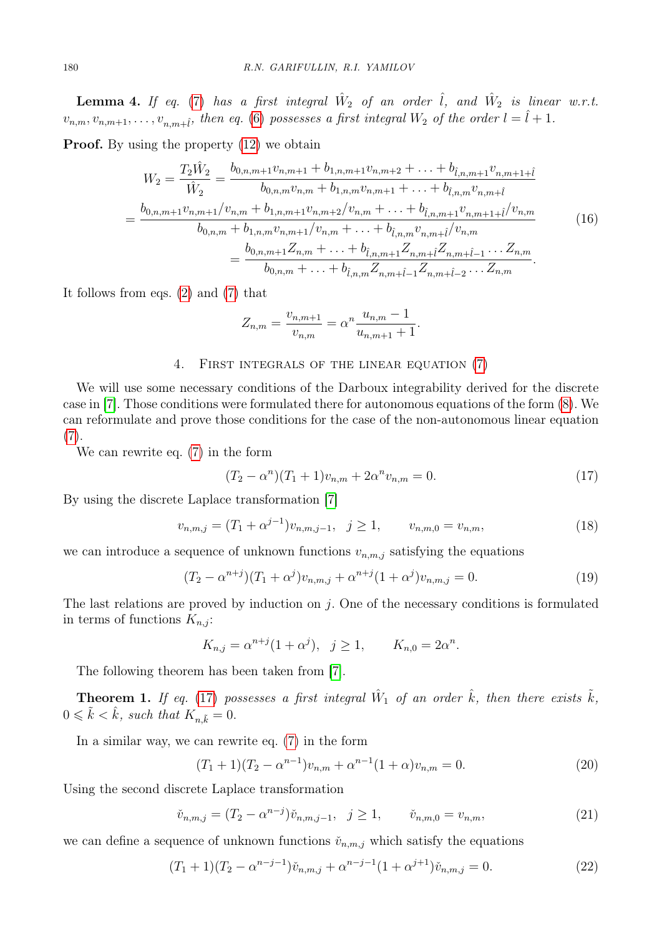**Lemma 4.** If eq. [\(7\)](#page-1-6) has a first integral  $\hat{W}_2$  of an order  $\hat{l}$ , and  $\hat{W}_2$  is linear w.r.t.  $v_{n,m}, v_{n,m+1}, \ldots, v_{n,m+\hat{l}},$  then eq. [\(6\)](#page-1-0) possesses a first integral  $W_2$  of the order  $l = \hat{l} + 1$ .

<span id="page-3-7"></span>**Proof.** By using the property  $(12)$  we obtain

$$
W_{2} = \frac{T_{2}\hat{W}_{2}}{\hat{W}_{2}} = \frac{b_{0,n,m+1}v_{n,m+1} + b_{1,n,m+1}v_{n,m+2} + \ldots + b_{\hat{l},n,m+1}v_{n,m+1+\hat{l}}}{b_{0,n,m}v_{n,m} + b_{1,n,m}v_{n,m+1} + \ldots + b_{\hat{l},n,m}v_{n,m+\hat{l}}}
$$

$$
= \frac{b_{0,n,m+1}v_{n,m+1}/v_{n,m} + b_{1,n,m+1}v_{n,m+2}/v_{n,m} + \ldots + b_{\hat{l},n,m+1}v_{n,m+1+\hat{l}}/v_{n,m}}{b_{0,n,m} + b_{1,n,m}v_{n,m+1}/v_{n,m} + \ldots + b_{\hat{l},n,m}v_{n,m+\hat{l}}/v_{n,m}}
$$

$$
= \frac{b_{0,n,m+1}Z_{n,m} + \ldots + b_{\hat{l},n,m+1}Z_{n,m+\hat{l}-1} \ldots Z_{n,m}}{b_{0,n,m} + \ldots + b_{\hat{l},n,m}Z_{n,m+\hat{l}-1}Z_{n,m+\hat{l}-2} \ldots Z_{n,m}}.
$$
(16)

It follows from eqs. [\(2\)](#page-0-3) and [\(7\)](#page-1-6) that

$$
Z_{n,m} = \frac{v_{n,m+1}}{v_{n,m}} = \alpha^n \frac{u_{n,m} - 1}{u_{n,m+1} + 1}.
$$

#### 4. First integrals of the linear equation [\(7\)](#page-1-6)

We will use some necessary conditions of the Darboux integrability derived for the discrete case in [\[7\]](#page-6-7). Those conditions were formulated there for autonomous equations of the form [\(8\)](#page-1-2). We can reformulate and prove those conditions for the case of the non-autonomous linear equation  $(7).$  $(7).$ 

We can rewrite eq. [\(7\)](#page-1-6) in the form

<span id="page-3-0"></span>
$$
(T_2 - \alpha^n)(T_1 + 1)v_{n,m} + 2\alpha^n v_{n,m} = 0.
$$
\n(17)

<span id="page-3-5"></span>By using the discrete Laplace transformation [\[7\]](#page-6-7)

$$
v_{n,m,j} = (T_1 + \alpha^{j-1})v_{n,m,j-1}, \quad j \ge 1, \qquad v_{n,m,0} = v_{n,m}, \tag{18}
$$

<span id="page-3-3"></span>we can introduce a sequence of unknown functions  $v_{n,m,j}$  satisfying the equations

$$
(T_2 - \alpha^{n+j})(T_1 + \alpha^j)v_{n,m,j} + \alpha^{n+j}(1 + \alpha^j)v_{n,m,j} = 0.
$$
\n(19)

The last relations are proved by induction on  $j$ . One of the necessary conditions is formulated in terms of functions  $K_{n,j}$ :

$$
K_{n,j} = \alpha^{n+j} (1 + \alpha^j), \ \ j \ge 1, \qquad K_{n,0} = 2\alpha^n.
$$

The following theorem has been taken from [\[7\]](#page-6-7).

<span id="page-3-2"></span>**Theorem 1.** If eq. [\(17\)](#page-3-0) possesses a first integral  $\hat{W}_1$  of an order  $\hat{k}$ , then there exists  $\tilde{k}$ ,  $0 \leq \tilde{k} < \hat{k}$ , such that  $K_{n,\tilde{k}} = 0$ .

In a similar way, we can rewrite eq. [\(7\)](#page-1-6) in the form

<span id="page-3-1"></span>
$$
(T_1 + 1)(T_2 - \alpha^{n-1})v_{n,m} + \alpha^{n-1}(1+\alpha)v_{n,m} = 0.
$$
\n(20)

<span id="page-3-6"></span>Using the second discrete Laplace transformation

$$
\check{v}_{n,m,j} = (T_2 - \alpha^{n-j}) \check{v}_{n,m,j-1}, \quad j \ge 1, \qquad \check{v}_{n,m,0} = v_{n,m}, \tag{21}
$$

<span id="page-3-4"></span>we can define a sequence of unknown functions  $\tilde{v}_{n,m,j}$  which satisfy the equations

$$
(T_1 + 1)(T_2 - \alpha^{n-j-1})\check{\nu}_{n,m,j} + \alpha^{n-j-1}(1 + \alpha^{j+1})\check{\nu}_{n,m,j} = 0.
$$
\n(22)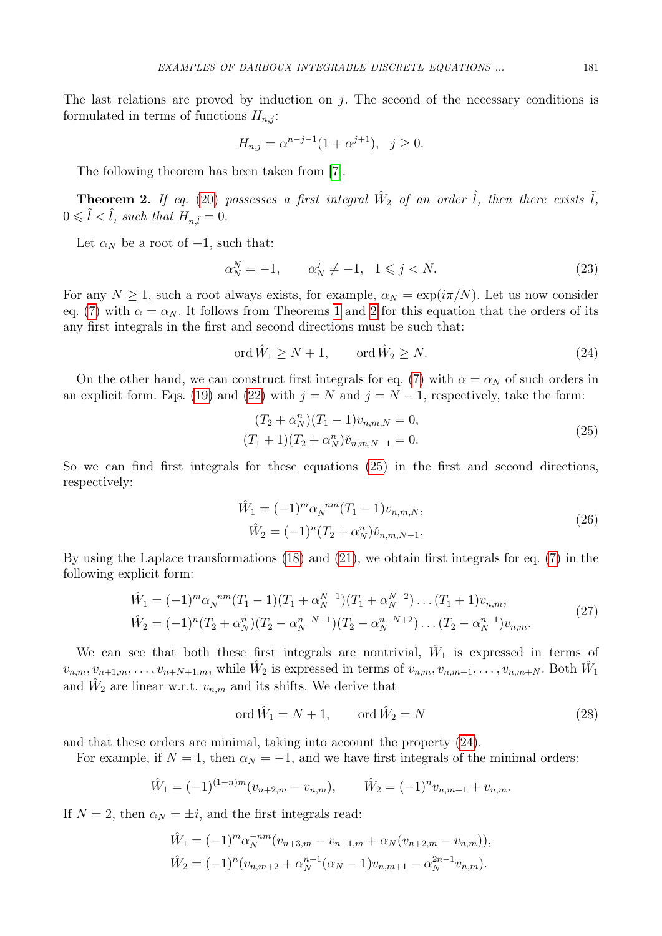The last relations are proved by induction on  $j$ . The second of the necessary conditions is formulated in terms of functions  $H_{n,i}$ :

$$
H_{n,j} = \alpha^{n-j-1} (1 + \alpha^{j+1}), \ \ j \ge 0.
$$

The following theorem has been taken from [\[7\]](#page-6-7).

<span id="page-4-0"></span>**Theorem 2.** If eq. [\(20\)](#page-3-1) possesses a first integral  $\hat{W}_2$  of an order  $\hat{l}$ , then there exists  $\tilde{l}$ ,  $0 \leq \tilde{l} < \hat{l}$ , such that  $H_{n\tilde{l}} = 0$ .

Let  $\alpha_N$  be a root of  $-1$ , such that:

<span id="page-4-3"></span>
$$
\alpha_N^N = -1, \qquad \alpha_N^j \neq -1, \ \ 1 \le j < N. \tag{23}
$$

For any  $N \geq 1$ , such a root always exists, for example,  $\alpha_N = \exp(i\pi/N)$ . Let us now consider eq. [\(7\)](#page-1-6) with  $\alpha = \alpha_N$ . It follows from Theorems [1](#page-3-2) and [2](#page-4-0) for this equation that the orders of its any first integrals in the first and second directions must be such that:

<span id="page-4-2"></span>
$$
\operatorname{ord}\hat{W}_1 \ge N+1, \qquad \operatorname{ord}\hat{W}_2 \ge N. \tag{24}
$$

On the other hand, we can construct first integrals for eq. [\(7\)](#page-1-6) with  $\alpha = \alpha_N$  of such orders in an explicit form. Eqs. [\(19\)](#page-3-3) and [\(22\)](#page-3-4) with  $j = N$  and  $j = N - 1$ , respectively, take the form:

$$
(T_2 + \alpha_N^n)(T_1 - 1)v_{n,m,N} = 0,
$$
  
\n
$$
(T_1 + 1)(T_2 + \alpha_N^n)\check{v}_{n,m,N-1} = 0.
$$
\n(25)

<span id="page-4-1"></span>So we can find first integrals for these equations [\(25\)](#page-4-1) in the first and second directions, respectively:

$$
\hat{W}_1 = (-1)^m \alpha_N^{-nm} (T_1 - 1) v_{n,m,N},
$$
  
\n
$$
\hat{W}_2 = (-1)^n (T_2 + \alpha_N^n) \check{v}_{n,m,N-1}.
$$
\n(26)

By using the Laplace transformations [\(18\)](#page-3-5) and [\(21\)](#page-3-6), we obtain first integrals for eq. [\(7\)](#page-1-6) in the following explicit form:

$$
\hat{W}_1 = (-1)^m \alpha_N^{-nm} (T_1 - 1) (T_1 + \alpha_N^{N-1}) (T_1 + \alpha_N^{N-2}) \dots (T_1 + 1) v_{n,m},
$$
\n
$$
\hat{W}_2 = (-1)^n (T_2 + \alpha_N^n) (T_2 - \alpha_N^{n-N+1}) (T_2 - \alpha_N^{n-N+2}) \dots (T_2 - \alpha_N^{n-1}) v_{n,m}.
$$
\n(27)

<span id="page-4-4"></span>We can see that both these first integrals are nontrivial,  $\hat{W}_1$  is expressed in terms of  $v_{n,m}, v_{n+1,m}, \ldots, v_{n+N+1,m}$ , while  $\hat{W}_2$  is expressed in terms of  $v_{n,m}, v_{n,m+1}, \ldots, v_{n,m+N}$ . Both  $\hat{W}_1$ and  $\hat{W}_2$  are linear w.r.t.  $v_{n,m}$  and its shifts. We derive that

$$
\operatorname{ord}\hat{W}_1 = N + 1, \qquad \operatorname{ord}\hat{W}_2 = N \tag{28}
$$

<span id="page-4-5"></span>and that these orders are minimal, taking into account the property [\(24\)](#page-4-2).

For example, if  $N = 1$ , then  $\alpha_N = -1$ , and we have first integrals of the minimal orders:

$$
\hat{W}_1 = (-1)^{(1-n)m} (v_{n+2,m} - v_{n,m}), \qquad \hat{W}_2 = (-1)^n v_{n,m+1} + v_{n,m}.
$$

If  $N = 2$ , then  $\alpha_N = \pm i$ , and the first integrals read:

$$
\hat{W}_1 = (-1)^m \alpha_N^{-nm} (v_{n+3,m} - v_{n+1,m} + \alpha_N (v_{n+2,m} - v_{n,m})),
$$
  

$$
\hat{W}_2 = (-1)^n (v_{n,m+2} + \alpha_N^{n-1} (\alpha_N - 1) v_{n,m+1} - \alpha_N^{2n-1} v_{n,m}).
$$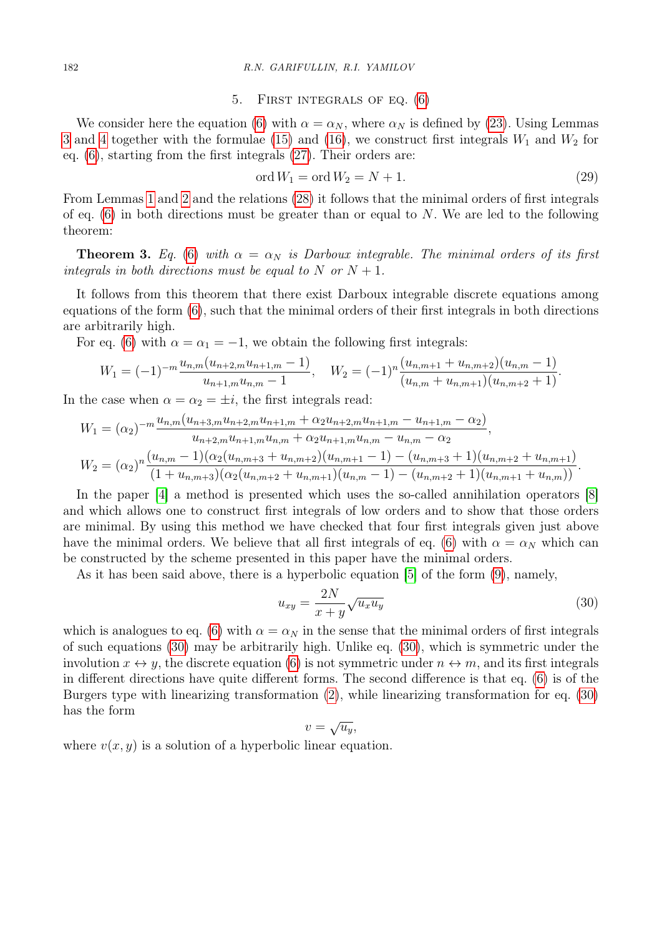#### 5. First integrals of eq. [\(6\)](#page-1-0)

We consider here the equation [\(6\)](#page-1-0) with  $\alpha = \alpha_N$ , where  $\alpha_N$  is defined by [\(23\)](#page-4-3). Using Lemmas [3](#page-2-0) and [4](#page-2-1) together with the formulae [\(15\)](#page-2-2) and [\(16\)](#page-3-7), we construct first integrals  $W_1$  and  $W_2$  for eq. [\(6\)](#page-1-0), starting from the first integrals [\(27\)](#page-4-4). Their orders are:

$$
\operatorname{ord} W_1 = \operatorname{ord} W_2 = N + 1. \tag{29}
$$

From Lemmas [1](#page-2-3) and [2](#page-2-4) and the relations [\(28\)](#page-4-5) it follows that the minimal orders of first integrals of eq.  $(6)$  in both directions must be greater than or equal to N. We are led to the following theorem:

**Theorem 3.** Eq. [\(6\)](#page-1-0) with  $\alpha = \alpha_N$  is Darboux integrable. The minimal orders of its first integrals in both directions must be equal to N or  $N + 1$ .

It follows from this theorem that there exist Darboux integrable discrete equations among equations of the form [\(6\)](#page-1-0), such that the minimal orders of their first integrals in both directions are arbitrarily high.

For eq. [\(6\)](#page-1-0) with  $\alpha = \alpha_1 = -1$ , we obtain the following first integrals:

$$
W_1 = (-1)^{-m} \frac{u_{n,m}(u_{n+2,m}u_{n+1,m}-1)}{u_{n+1,m}u_{n,m}-1}, \quad W_2 = (-1)^n \frac{(u_{n,m+1}+u_{n,m+2})(u_{n,m}-1)}{(u_{n,m}+u_{n,m+1})(u_{n,m+2}+1)}.
$$

In the case when  $\alpha = \alpha_2 = \pm i$ , the first integrals read:

$$
W_1 = (\alpha_2)^{-m} \frac{u_{n,m}(u_{n+3,m}u_{n+2,m}u_{n+1,m} + \alpha_2 u_{n+2,m}u_{n+1,m} - u_{n+1,m} - \alpha_2)}{u_{n+2,m}u_{n+1,m}u_{n,m} + \alpha_2 u_{n+1,m}u_{n,m} - u_{n,m} - \alpha_2},
$$
  

$$
W_2 = (\alpha_2)^n \frac{(u_{n,m} - 1)(\alpha_2(u_{n,m+3} + u_{n,m+2})(u_{n,m+1} - 1) - (u_{n,m+3} + 1)(u_{n,m+2} + u_{n,m+1})}{(1 + u_{n,m+3})(\alpha_2(u_{n,m+2} + u_{n,m+1})(u_{n,m} - 1) - (u_{n,m+2} + 1)(u_{n,m+1} + u_{n,m}))}.
$$

In the paper [\[4\]](#page-6-4) a method is presented which uses the so-called annihilation operators [\[8\]](#page-6-8) and which allows one to construct first integrals of low orders and to show that those orders are minimal. By using this method we have checked that four first integrals given just above have the minimal orders. We believe that all first integrals of eq. [\(6\)](#page-1-0) with  $\alpha = \alpha_N$  which can be constructed by the scheme presented in this paper have the minimal orders.

As it has been said above, there is a hyperbolic equation [\[5\]](#page-6-5) of the form [\(9\)](#page-1-1), namely,

<span id="page-5-0"></span>
$$
u_{xy} = \frac{2N}{x+y} \sqrt{u_x u_y} \tag{30}
$$

which is analogues to eq. [\(6\)](#page-1-0) with  $\alpha = \alpha_N$  in the sense that the minimal orders of first integrals of such equations [\(30\)](#page-5-0) may be arbitrarily high. Unlike eq. [\(30\)](#page-5-0), which is symmetric under the involution  $x \leftrightarrow y$ , the discrete equation [\(6\)](#page-1-0) is not symmetric under  $n \leftrightarrow m$ , and its first integrals in different directions have quite different forms. The second difference is that eq. [\(6\)](#page-1-0) is of the Burgers type with linearizing transformation [\(2\)](#page-0-3), while linearizing transformation for eq. [\(30\)](#page-5-0) has the form √

$$
v = \sqrt{u_y},
$$

where  $v(x, y)$  is a solution of a hyperbolic linear equation.